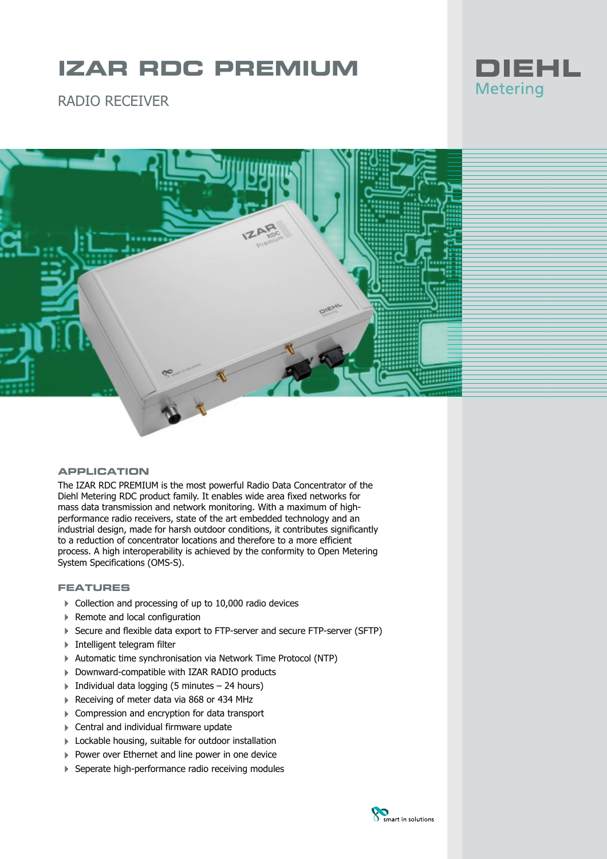# **IZAR RDC PREMIUM**

RADIO RECEIVER





### **APPLICATION**

The IZAR RDC PREMIUM is the most powerful Radio Data Concentrator of the Diehl Metering RDC product family. It enables wide area fixed networks for mass data transmission and network monitoring. With a maximum of highperformance radio receivers, state of the art embedded technology and an industrial design, made for harsh outdoor conditions, it contributes significantly to a reduction of concentrator locations and therefore to a more efficient process. A high interoperability is achieved by the conformity to Open Metering System Specifications (OMS-S).

## **FEATURES**

- ▶ Collection and processing of up to 10,000 radio devices
- ▶ Remote and local configuration
- 4 Secure and flexible data export to FTP-server and secure FTP-server (SFTP)
- 4 Intelligent telegram filter
- 4 Automatic time synchronisation via Network Time Protocol (NTP)
- 4 Downward-compatible with IZAR RADIO products
- $\triangleright$  Individual data logging (5 minutes 24 hours)
- Receiving of meter data via 868 or 434 MHz
- ▶ Compression and encryption for data transport
- ▶ Central and individual firmware update
- **Lockable housing, suitable for outdoor installation**
- ▶ Power over Ethernet and line power in one device
- ▶ Seperate high-performance radio receiving modules

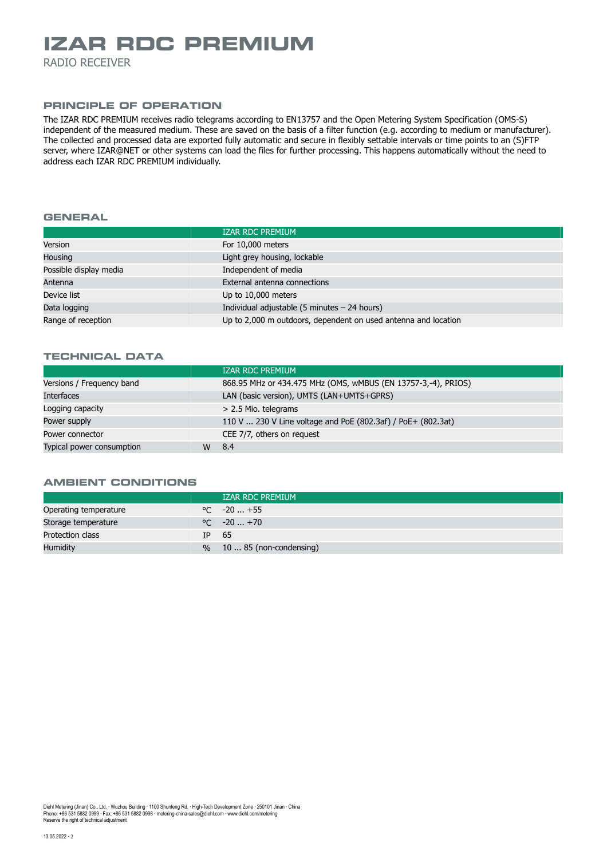## **IZAR RDC PREMIUM**

RADIO RECEIVER

## **PRINCIPLE OF OPERATION**

The IZAR RDC PREMIUM receives radio telegrams according to EN13757 and the Open Metering System Specification (OMS-S) independent of the measured medium. These are saved on the basis of a filter function (e.g. according to medium or manufacturer). The collected and processed data are exported fully automatic and secure in flexibly settable intervals or time points to an (S)FTP server, where IZAR@NET or other systems can load the files for further processing. This happens automatically without the need to address each IZAR RDC PREMIUM individually.

#### **GENERAL**

| <b>IZAR RDC PREMIUM</b>                                        |
|----------------------------------------------------------------|
| For 10,000 meters                                              |
| Light grey housing, lockable                                   |
| Independent of media                                           |
| External antenna connections                                   |
| Up to 10,000 meters                                            |
| Individual adjustable $(5 \text{ minutes} - 24 \text{ hours})$ |
| Up to 2,000 m outdoors, dependent on used antenna and location |
|                                                                |

### **TECHNICAL DATA**

|                           |   | <b>IZAR RDC PREMIUM</b>                                       |
|---------------------------|---|---------------------------------------------------------------|
| Versions / Frequency band |   | 868.95 MHz or 434.475 MHz (OMS, wMBUS (EN 13757-3,-4), PRIOS) |
| <b>Interfaces</b>         |   | LAN (basic version), UMTS (LAN+UMTS+GPRS)                     |
| Logging capacity          |   | > 2.5 Mio. telegrams                                          |
| Power supply              |   | 110 V  230 V Line voltage and PoE (802.3af) / PoE + (802.3at) |
| Power connector           |   | CEE 7/7, others on request                                    |
| Typical power consumption | W | 8.4                                                           |

#### **AMBIENT CONDITIONS**

|                       |     | <b>IZAR RDC PREMIUM</b>      |
|-----------------------|-----|------------------------------|
| Operating temperature |     | $\degree$ C $-20$ +55        |
| Storage temperature   |     | $\degree$ C $-20+70$         |
| Protection class      | TP. | - 65                         |
| <b>Humidity</b>       |     | $\%$ 10  85 (non-condensing) |

Diehl Metering (Jinan) Co., Ltd. · Wuzhou Building · 1100 Shunfeng Rd. · High-Tech Development Zone · 250101 Jinan · China<br>Phone: +86 531 5882 0999 · Fax: +86 531 5882 0998 · metering-china-sales@diehl.com · www.diehl.com Reserve the right of technical adjustment